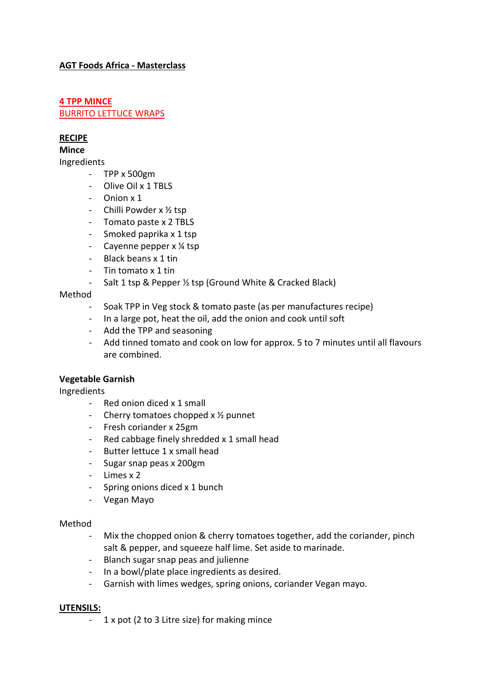# **AGT Foods Africa - Masterclass**

# **4 TPP MINCE** BURRITO LETTUCE WRAPS

# **RECIPE**

#### **Mince**

Ingredients

- TPP x 500gm
- Olive Oil x 1 TBLS
- Onion x 1
- Chilli Powder x ½ tsp
- Tomato paste x 2 TBLS
- Smoked paprika x 1 tsp
- Cayenne pepper x ¼ tsp
- Black beans x 1 tin
- Tin tomato x 1 tin
- Salt 1 tsp & Pepper ½ tsp (Ground White & Cracked Black)

#### Method

- Soak TPP in Veg stock & tomato paste (as per manufactures recipe)
- In a large pot, heat the oil, add the onion and cook until soft
- Add the TPP and seasoning
- Add tinned tomato and cook on low for approx. 5 to 7 minutes until all flavours are combined.

#### **Vegetable Garnish**

Ingredients

- Red onion diced x 1 small
- Cherry tomatoes chopped x ½ punnet
- Fresh coriander x 25gm
- Red cabbage finely shredded x 1 small head
- Butter lettuce 1 x small head
- Sugar snap peas x 200gm
- Limes x 2
- Spring onions diced x 1 bunch
- Vegan Mayo

#### Method

- Mix the chopped onion & cherry tomatoes together, add the coriander, pinch salt & pepper, and squeeze half lime. Set aside to marinade.
- Blanch sugar snap peas and julienne
- In a bowl/plate place ingredients as desired.
- Garnish with limes wedges, spring onions, coriander Vegan mayo.

#### **UTENSILS:**

- 1 x pot (2 to 3 Litre size) for making mince